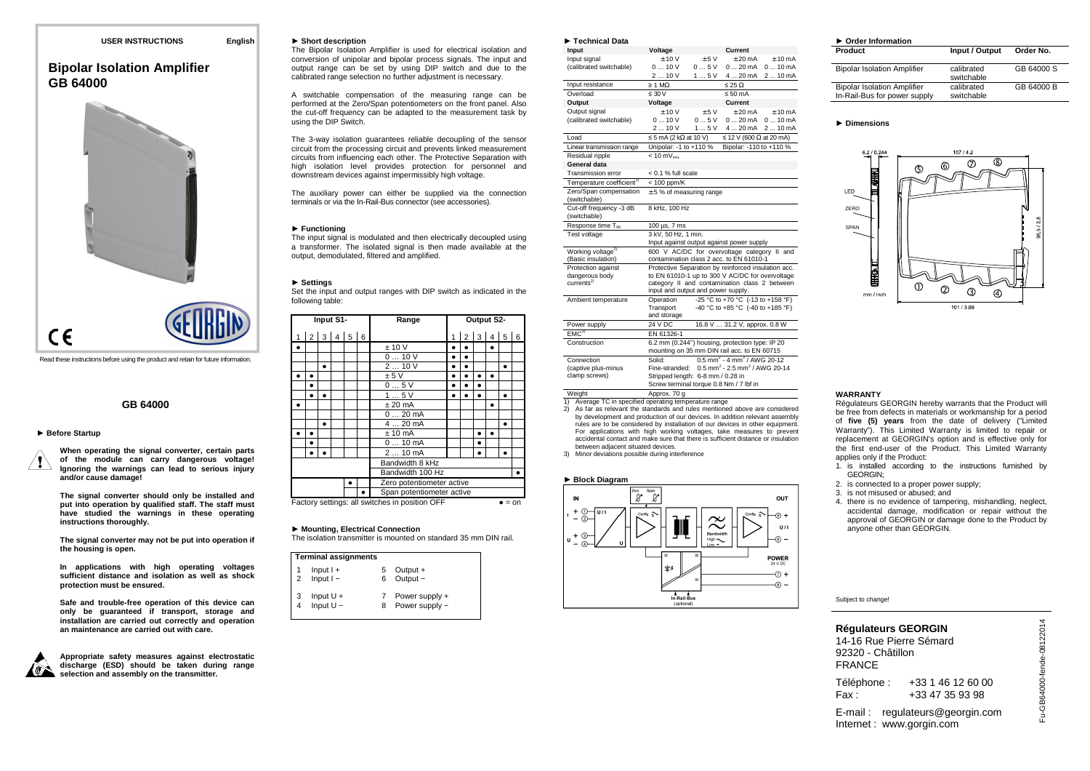# **Bipolar Isolation AmplifierGB 64000**



Read these instructions before using the product and retain for future information.

# **GB 64000**

### ► **Before Startup**

**When operating the signal converter, certain parts of the module can carry dangerous voltage! Ignoring the warnings can lead to serious injury and/or cause damage!** 

**The signal converter should only be installed and put into operation by qualified staff. The staff must have studied the warnings in these operating instructions thoroughly.** 

**The signal converter may not be put into operation if the housing is open.** 

**In applications with high operating voltages sufficient distance and isolation as well as shock protection must be ensured.** 

**Safe and trouble-free operation of this device can only be guaranteed if transport, storage and installation are carried out correctly and operation an maintenance are carried out with care.** 



**Appropriate safety measures against electrostatic discharge (ESD) should be taken during range selection and assembly on the transmitter.** 

### ► **Short description**

 The Bipolar Isolation Amplifier is used for electrical isolation and conversion of unipolar and bipolar process signals. The input and output range can be set by using DIP switch and due to the calibrated range selection no further adjustment is necessary.

A switchable compensation of the measuring range can be performed at the Zero/Span potentiometers on the front panel. Also the cut-off frequency can be adapted to the measurement task by using the DIP Switch.

The 3-way isolation guarantees reliable decoupling of the sensor circuit from the processing circuit and prevents linked measurement circuits from influencing each other. The Protective Separation with high isolation level provides protection for personnel and downstream devices against impermissibly high voltage.

The auxiliary power can either be supplied via the connection terminals or via the In-Rail-Bus connector (see accessories).

### ► **Functioning**

 The input signal is modulated and then electrically decoupled using a transformer. The isolated signal is then made available at the output, demodulated, filtered and amplified.

### ► **Settings**

 Set the input and output ranges with DIP switch as indicated in the following table:

| Input S1- |                           |           |  |  | Range |                                                |   |   | Output S2- |           |   |        |
|-----------|---------------------------|-----------|--|--|-------|------------------------------------------------|---|---|------------|-----------|---|--------|
| 1         |                           | 2 3 4 5 6 |  |  |       |                                                | 1 |   |            | 2 3 4 5 6 |   |        |
| $\bullet$ |                           |           |  |  |       | ± 10 V                                         |   |   |            |           |   |        |
|           |                           |           |  |  |       | 010V                                           | ٠ | ٠ |            |           |   |        |
|           |                           | ٠         |  |  |       | 210V                                           |   |   |            |           | ٠ |        |
|           |                           |           |  |  |       | ± 5V                                           |   |   |            |           |   |        |
|           | $\bullet$                 |           |  |  |       | 05V                                            |   |   |            |           |   |        |
|           | $\bullet$                 |           |  |  |       | 15V                                            | ٠ |   |            |           | ٠ |        |
|           |                           |           |  |  |       | $± 20$ mA                                      |   |   |            |           |   |        |
|           |                           |           |  |  |       | $020$ mA                                       |   |   |            |           |   |        |
|           |                           | ٠         |  |  |       | $420$ mA                                       |   |   |            |           | ٠ |        |
|           |                           |           |  |  |       | $± 10$ mA                                      |   |   |            |           |   |        |
|           | ٠                         |           |  |  |       | $010$ mA                                       |   |   | ٠          |           |   |        |
|           |                           |           |  |  |       | $210$ mA                                       |   |   |            |           |   |        |
|           | Bandwidth 8 kHz           |           |  |  |       |                                                |   |   |            |           |   |        |
|           | Bandwidth 100 Hz          |           |  |  |       |                                                |   |   |            |           |   |        |
|           |                           |           |  |  |       | Zero potentiometer active                      |   |   |            |           |   |        |
|           | Span potentiometer active |           |  |  |       |                                                |   |   |            |           |   |        |
|           |                           |           |  |  |       | Factory settings: all switches in position OFF |   |   |            |           |   | $=$ on |

### ► **Mounting, Electrical Connection**

The isolation transmitter is mounted on standard 35 mm DIN rail.

|                | <b>Terminal assignments</b> |  |                                  |  |  |  |  |  |
|----------------|-----------------------------|--|----------------------------------|--|--|--|--|--|
| $\overline{2}$ | $Input I +$<br>$Input I -$  |  | Output +<br>Output -             |  |  |  |  |  |
|                | Input $U +$<br>Input $U -$  |  | Power supply +<br>Power supply - |  |  |  |  |  |

| $\blacktriangleright$ Technical Data                |                                    |       |                                                                                                        |          |
|-----------------------------------------------------|------------------------------------|-------|--------------------------------------------------------------------------------------------------------|----------|
| Input                                               | Voltage                            |       | Current                                                                                                |          |
| Input signal                                        | $+10V$                             | ± 5V  | $+20 \text{ mA}$                                                                                       | $+10mA$  |
| (calibrated switchable)                             | 010V                               | 05V   | $020 \text{ mA}$                                                                                       | 010mA    |
|                                                     | 210V                               | 15V   | 4  20 mA                                                                                               | 210mA    |
| Input resistance                                    | $\geq 1$ MO.                       |       | $\leq$ 25 $\Omega$                                                                                     |          |
| Overload                                            | $\leq 30 V$                        |       | $\leq 50$ mA                                                                                           |          |
| Output                                              | Voltage                            |       | Current                                                                                                |          |
| Output signal                                       | $+10V$                             | $+5V$ | $+20 \text{ mA}$                                                                                       | $+10mA$  |
| (calibrated switchable)                             | 010V                               | 0.5V  | 020mA                                                                                                  | 010mA    |
|                                                     | 2  10 V                            | 15V   | 4  20 mA                                                                                               | 2  10 mA |
| Load                                                | $\leq$ 5 mA (2 k $\Omega$ at 10 V) |       | $\leq$ 12 V (600 $\Omega$ at 20 mA)                                                                    |          |
| Linear transmission range                           | Unipolar: -1 to +110 %             |       | Bipolar: -110 to +110 %                                                                                |          |
| Residual ripple                                     | $< 10 mV_{rms}$                    |       |                                                                                                        |          |
| General data                                        |                                    |       |                                                                                                        |          |
| Transmission error                                  | < 0.1 % full scale                 |       |                                                                                                        |          |
| Temperature coefficient <sup>1)</sup>               | $< 100$ ppm/K                      |       |                                                                                                        |          |
| Zero/Span compensation<br>(switchable)              | $± 5$ % of measuring range         |       |                                                                                                        |          |
| Cut-off frequency -3 dB<br>(switchable)             | 8 kHz, 100 Hz                      |       |                                                                                                        |          |
| Response time T <sub>99</sub>                       | 100 µs, 7 ms                       |       |                                                                                                        |          |
| Test voltage                                        | 3 kV, 50 Hz, 1 min.                |       |                                                                                                        |          |
|                                                     |                                    |       | Input against output against power supply                                                              |          |
| Working voltage <sup>2)</sup><br>(Basic insulation) |                                    |       | 600 V AC/DC for overvoltage category II and<br>contamination class 2 acc. to EN 61010-1                |          |
| Protection against                                  |                                    |       |                                                                                                        |          |
| dangerous body                                      |                                    |       | Protective Separation by reinforced insulation acc.<br>to EN 61010-1 up to 300 V AC/DC for overvoltage |          |
| currents <sup>2</sup>                               |                                    |       | category II and contamination class 2 between                                                          |          |
|                                                     | input and output and power supply. |       |                                                                                                        |          |
| Ambient temperature                                 | Operation                          |       | -25 °C to +70 °C (-13 to +158 °F)                                                                      |          |
|                                                     | Transport                          |       | -40 °C to +85 °C (-40 to +185 °F)                                                                      |          |
|                                                     | and storage                        |       |                                                                                                        |          |
| Power supply                                        | 24 V DC                            |       | 16.8 V  31.2 V, approx. 0.8 W                                                                          |          |
| EMC <sup>3</sup>                                    | EN 61326-1                         |       |                                                                                                        |          |
| Construction                                        |                                    |       | 6.2 mm (0.244") housing, protection type: IP 20                                                        |          |
|                                                     |                                    |       | mounting on 35 mm DIN rail acc. to EN 60715                                                            |          |
| Connection                                          | Solid:                             |       | $0.5$ mm <sup>2</sup> - 4 mm <sup>2</sup> / AWG 20-12                                                  |          |
| (captive plus-minus                                 | Fine-stranded:                     |       | $0.5$ mm <sup>2</sup> - 2.5 mm <sup>2</sup> / AWG 20-14                                                |          |
| clamp screws)                                       | Stripped length: 6-8 mm / 0.28 in  |       |                                                                                                        |          |
| <b>1865-1979</b>                                    | $\lambda$                          |       | Screw terminal torque 0.8 Nm / 7 lbf in                                                                |          |
|                                                     |                                    |       |                                                                                                        |          |

Weight Approx. 70 g 1) Average TC in specified operating temperature range

 2) As far as relevant the standards and rules mentioned above are considered by development and production of our devices. In addition relevant assembly rules are to be considered by installation of our devices in other equipment. For applications with high working voltages, take measures to prevent accidental contact and make sure that there is sufficient distance or insulation between adjacent situated devices.

3) Minor deviations possible during interference

### ► **Block Diagram**



| $\triangleright$ Order Information                                 |                          |            |  |  |  |  |  |  |  |
|--------------------------------------------------------------------|--------------------------|------------|--|--|--|--|--|--|--|
| Product                                                            | Input / Output           | Order No.  |  |  |  |  |  |  |  |
| <b>Bipolar Isolation Amplifier</b>                                 | calibrated<br>switchable | GB 64000 S |  |  |  |  |  |  |  |
| <b>Bipolar Isolation Amplifier</b><br>In-Rail-Bus for power supply | calibrated<br>switchable | GB 64000 B |  |  |  |  |  |  |  |

### ► **Dimensions**



## **WARRANTY**

 Régulateurs GEORGIN hereby warrants that the Product will be free from defects in materials or workmanship for a period of **five (5) years** from the date of delivery ("Limited Warranty"). This Limited Warranty is limited to repair or replacement at GEORGIN's option and is effective only for the first end-user of the Product. This Limited Warranty applies only if the Product:

- 1. is installed according to the instructions furnished by GEORGIN;
- 2. is connected to a proper power supply;
- 3. is not misused or abused; and
- 4. there is no evidence of tampering, mishandling, neglect, accidental damage, modification or repair without the approval of GEORGIN or damage done to the Product by anyone other than GEORGIN.

## Subject to change!

| <b>Régulateurs GEORGIN</b><br>14-16 Rue Pierre Sémard<br>92320 - Châtillon<br><b>FRANCE</b> |                                      |
|---------------------------------------------------------------------------------------------|--------------------------------------|
| Téléphone :<br>Fax:                                                                         | +33 1 46 12 60 00<br>+33 47 35 93 98 |
|                                                                                             |                                      |

E-mail : regulateurs@georgin.com Internet : www.gorgin.com